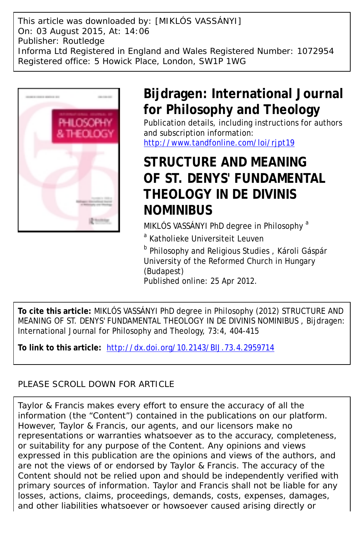This article was downloaded by: [MIKLÓS VASSÁNYI] On: 03 August 2015, At: 14:06 Publisher: Routledge Informa Ltd Registered in England and Wales Registered Number: 1072954 Registered office: 5 Howick Place, London, SW1P 1WG



# **Bijdragen: International Journal for Philosophy and Theology**

Publication details, including instructions for authors and subscription information: http://www.tandfonline.com/loi/ript19

# **STRUCTURE AND MEANING OF ST. DENYS' FUNDAMENTAL THEOLOGY IN DE DIVINIS NOMINIBUS**

MIKLÓS VASSÁNYI PhD degree in Philosophy<sup>a</sup>

<sup>a</sup> Katholieke Universiteit Leuven

**b Philosophy and Religious Studies**, Károli Gáspár University of the Reformed Church in Hungary (Budapest) Published online: 25 Apr 2012.

**To cite this article:** MIKLÓS VASSÁNYI PhD degree in Philosophy (2012) STRUCTURE AND MEANING OF ST. DENYS' FUNDAMENTAL THEOLOGY IN DE DIVINIS NOMINIBUS , Bijdragen: International Journal for Philosophy and Theology, 73:4, 404-415

**To link to this article:** <http://dx.doi.org/10.2143/BIJ.73.4.2959714>

## PLEASE SCROLL DOWN FOR ARTICLE

Taylor & Francis makes every effort to ensure the accuracy of all the information (the "Content") contained in the publications on our platform. However, Taylor & Francis, our agents, and our licensors make no representations or warranties whatsoever as to the accuracy, completeness, or suitability for any purpose of the Content. Any opinions and views expressed in this publication are the opinions and views of the authors, and are not the views of or endorsed by Taylor & Francis. The accuracy of the Content should not be relied upon and should be independently verified with primary sources of information. Taylor and Francis shall not be liable for any losses, actions, claims, proceedings, demands, costs, expenses, damages, and other liabilities whatsoever or howsoever caused arising directly or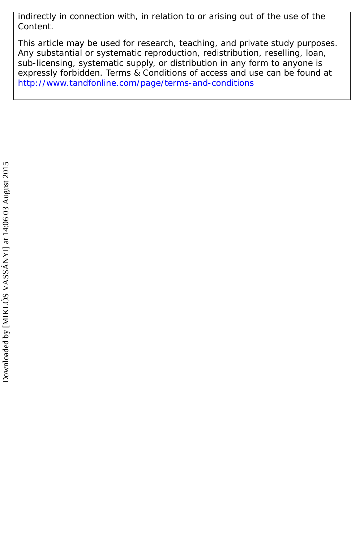indirectly in connection with, in relation to or arising out of the use of the Content.

This article may be used for research, teaching, and private study purposes. Any substantial or systematic reproduction, redistribution, reselling, loan, sub-licensing, systematic supply, or distribution in any form to anyone is expressly forbidden. Terms & Conditions of access and use can be found at <http://www.tandfonline.com/page/terms-and-conditions>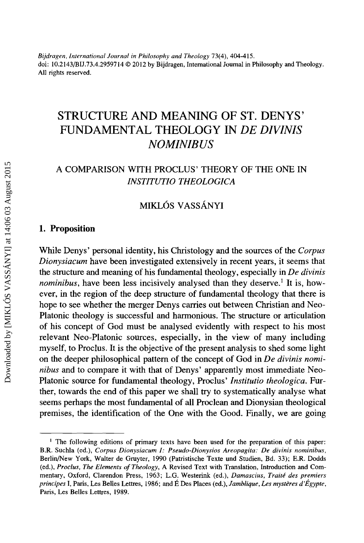*Bijdragen, International Journal in Philosophy and Theology* 73(4), 404-415. doi: 10.2143/BIJ.73.4.2959714 © 2012 by Bijdragen, International Journal in Philosophy and Theology. All rights reserved.

## STRUCTURE AND MEANING OF ST. DENYS' FUNDAMENTAL THEOLOGY IN *DE DIVINIS NO MINIBUS*

## A COMPARISON WITH PROCLUS' THEORY OF THE ONE IN */NST/TUT/0 THEOLOGICA*

### MIKLÓS VASSÁNYI

#### 1. Proposition

While Denys' personal identity, his Christology and the sources of the *Corpus Dionysiacum* have been investigated extensively in recent years, it seems that the structure and meaning of his fundamental theology, especially in *De divinis nominibus*, have been less incisively analysed than they deserve.<sup>1</sup> It is, however, in the region of the deep structure of fundamental theology that there is hope to see whether the merger Denys carries out between Christian and Neo-Platonic theology is successful and harmonious. The structure or articulation of his concept of God must be analysed evidently with respect to his most relevant Neo-Platonic sources, especially, in the view of many including myself, to Proclus. It is the objective of the present analysis to shed some light on the deeper philosophical pattern of the concept of God in *De divinis nominibus* and to compare it with that of Denys' apparently most immediate Neo-Platonic source for fundamental theology, Proclus' *lnstitutio theologica.* Further, towards the end of this paper we shall try to systematically analyse what seems perhaps the most fundamental of all Proclean and Dionysian theological premises, the identification of the One with the Good. Finally, we are going

<sup>1</sup> The following editions of primary texts have been used for the preparation of this paper: B.R. Suchla (ed.), *Corpus Dionysiacum 1: Pseudo-Dionysios Areopagita: De divinis nominibus,*  Berlin/New York, Walter de Gruyter, 1990 (Patristische Texte und Studien, Bd. 33); E.R. Dodds (ed.), *Proclus, The Elements of Theology,* A Revised Text with Translation, Introduction and Commentary, Oxford, Clarendon Press, 1963; L.G. Westerink (ed.), *Damascius, Traite des premiers principes* I, Paris, Les Belles Lettres, 1986; and E Des Places (ed.), *Jamblique, Les mysteres d'Egypte,*  Paris, Les Belles Lettres, 1989.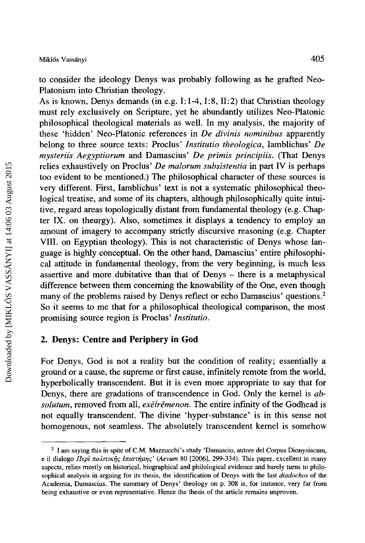to consider the ideology Denys was probably following as he grafted Neo-Platonism into Christian theology.

As is known, Denys demands (in e.g. I: 1-4, I:8, II:2) that Christian theology must rely exclusively on Scripture, yet he abundantly utilizes Neo-Platonic philosophical theological materials as well. In my analysis, the majority of these 'hidden' Neo-Platonic references in *De divinis nominibus* apparently belong to three source texts: Proclus' *lnstitutio theologica,* Iamblichus' *De mysteriis Aegyptiorum* and Damascius' *De primis principiis.* (That Denys relies exhaustively on Proclus' *De malorum subsistentia* in part IV is perhaps too evident to be mentioned.) The philosophical character of these sources is very different. First, Iamblichus' text is not a systematic philosophical theological treatise, and some of its chapters, although philosophically quite intuitive, regard areas topologically distant from fundamental theology (e.g. Chapter IX. on theurgy). Also, sometimes it displays a tendency to employ an amount of imagery to accompany strictly discursive reasoning (e.g. Chapter VIII. on Egyptian theology). This is not characteristic of Denys whose language is highly conceptual. On the other hand, Damascius' entire philosophical attitude in fundamental theology, from the very beginning, is much less assertive and more dubitative than that of Denys – there is a metaphysical difference between them concerning the knowability of the One, even though many of the problems raised by Denys reflect or echo Damascius' questions.<sup>2</sup> So it seems to me that for a philosophical theological comparison, the most promising source region is Proclus' */nstitutio.* 

#### 2. Denys: Centre and Periphery in God

For Denys, God is not a reality but the condition of reality; essentially a ground or a cause, the supreme or first cause, infinitely remote from the world, hyperbolically transcendent. But it is even more appropriate to say that for Denys, there are gradations of transcendence in God. Only the kernel is *absolutum,* removed from all, *exeiremenon.* The entire infinity of the Godhead is not equally transcendent. The divine 'hyper-substance' is in this sense not homogenous, not seamless. The absolutely transcendent kernel is somehow

<sup>&</sup>lt;sup>2</sup> I am saying this in spite of C.M. Mazzucchi's study 'Damascio, autore del Corpus Dionysiacum, e il dialogo  $\Pi \epsilon \rho \hat{i}$  πολιτικῆς ἐπιστήμης' (Aevum 80 [2006], 299-334). This paper, excellent in many aspects, relies mostly on historical, biographical and philological evidence and barely turns to philosophical analysis in arguing for its thesis, the identification of Denys with the last *diadochos* of the Academia, Damascius. The summary of Denys' theology on p. 308 is, for instance, very far from being exhaustive or even representative. Hence the thesis of the article remains unproven.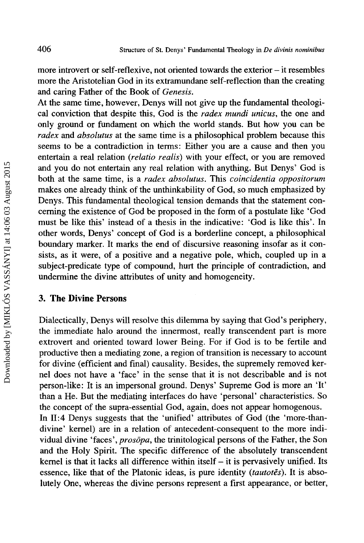more introvert or self-reflexive, not oriented towards the exterior- it resembles more the Aristotelian God in its extramundane self-reflection than the creating and caring Father of the Book of *Genesis.* 

At the same time, however, Denys will not give up the fundamental theological conviction that despite this, God is the *radex mundi unicus,* the one and only ground or fundament on which the world stands. But how you can be *radex* and *absolutus* at the same time is a philosophical problem because this seems to be a contradiction in terms: Either you are a cause and then you entertain a real relation *(relatio rea/is)* with your effect, or you are removed and you do not entertain any real relation with anything. But Denys' God is both at the same time, is a *radex absolutus.* This *coincidentia oppositorum*  makes one already think of the unthinkability of God, so much emphasized by Denys. This fundamental theological tension demands that the statement concerning the existence of God be proposed in the form of a postulate like 'God must be like this' instead of a thesis in the indicative: 'God is like this'. In other words, Denys' concept of God is a borderline concept, a philosophical boundary marker. It marks the end of discursive reasoning insofar as it consists, as it were, of a positive and a negative pole, which, coupled up in a subject-predicate type of compound, hurt the principle of contradiction, and undermine the divine attributes of unity and homogeneity.

#### **3. The Divine Persons**

Dialectically, Denys will resolve this dilemma by saying that God's periphery, the immediate halo around the innermost, really transcendent part is more extrovert and oriented toward lower Being. For if God is to be fertile and productive then a mediating zone, a region of transition is necessary to account for divine (efficient and final) causality. Besides, the supremely removed kernel does not have a 'face' in the sense that it is not describable and is not person-like: It is an impersonal ground. Denys' Supreme God is more an 'It' than a He. But the mediating interfaces do have 'personal' characteristics. So the concept of the supra-essential God, again, does not appear homogenous. In II:4 Denys suggests that the 'unified' attributes of God (the 'more-thandivine' kernel) are in a relation of antecedent-consequent to the more individual divine 'faces', *prosopa,* the trinitological persons of the Father, the Son and the Holy Spirit. The specific difference of the absolutely transcendent kernel is that it lacks all difference within itself  $-$  it is pervasively unified. Its essence, like that of the Platonic ideas, is pure identity *(tautotes)*. It is absolutely One, whereas the divine persons represent a first appearance, or better,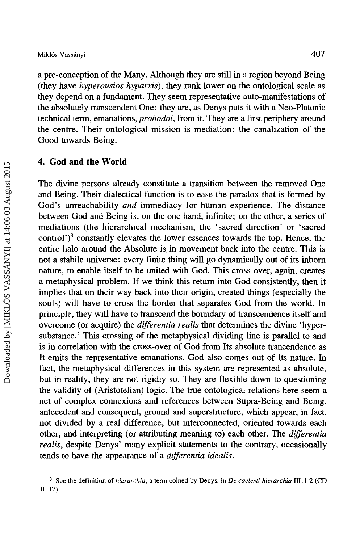a pre-conception of the Many. Although they are still in a region beyond Being (they have *hyperousios hyparxis),* they rank lower on the ontological scale as they depend on a fundament. They seem representative auto-manifestations of the absolutely transcendent One; they are, as Denys puts it with a Neo-Platonic technical term, emanations, *prohodoi,* from it. They are a first periphery around the centre. Their ontological mission is mediation: the canalization of the Good towards Being.

#### **4. God and the World**

The divine persons already constitute a transition between the removed One and Being. Their dialectical function is to ease the paradox that is formed by God's unreachability *and* immediacy for human experience. The distance between God and Being is, on the one hand, infinite; on the other, a series of mediations (the hierarchical mechanism, the 'sacred direction' or 'sacred control' $j<sup>3</sup>$  constantly elevates the lower essences towards the top. Hence, the entire halo around the Absolute is in movement back into the centre. This is not a stabile universe: every fmite thing will go dynamically out of its inborn nature, to enable itself to be united with God. This cross-over, again, creates a metaphysical problem. If we think this return into God consistently, then it implies that on their way back into their origin, created things (especially the souls) will have to cross the border that separates God from the world. In principle, they will have to transcend the boundary of transcendence itself and overcome (or acquire) the *differentia realis* that determines the divine 'hypersubstance.' This crossing of the metaphysical dividing line is parallel to and is in correlation with the cross-over of God from Its absolute trancendence as It emits the representative emanations. God also comes out of Its nature. In fact, the metaphysical differences in this system are represented as absolute, but in reality, they are not rigidly so. They are flexible down to questioning the validity of (Aristotelian) logic. The true ontological relations here seem a net of complex connexions and references between Supra-Being and Being, antecedent and consequent, ground and superstructure, which appear, in fact, not divided by a real difference, but interconnected, oriented towards each other, and interpreting (or attributing meaning to) each other. The *differentia realis,* despite Denys' many explicit statements to the contrary, occasionally tends to have the appearance of a *differentia idea/is.* 

<sup>3</sup> See the definition of *hierarchia,* a term coined by Denys, in *De caelesti hierarchia* III: 1-2 (CD 11, 17).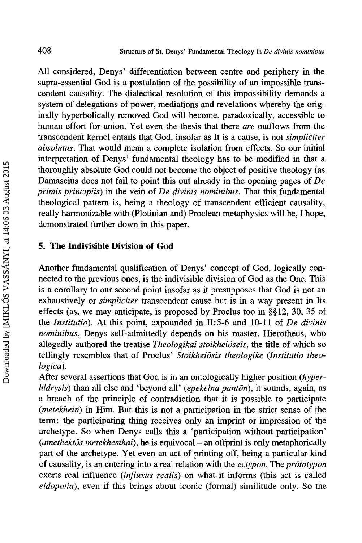All considered, Denys' differentiation between centre and periphery in the supra-essential God is a postulation of the possibility of an impossible transcendent causality. The dialectical resolution of this impossibility demands a system of delegations of power, mediations and revelations whereby the originally hyperbolically removed God will become, paradoxically, accessible to human effort for union. Yet even the thesis that there *are* outflows from the transcendent kernel entails that God, insofar as It is a cause, is not *simpliciter absolutus.* That would mean a complete isolation from effects. So our initial interpretation of Denys' fundamental theology has to be modified in that a thoroughly absolute God could not become the object of positive theology (as Damascius does not fail to point this out already in the opening pages of *De primis principiis)* in the vein of *De divinis nominibus.* That this fundamental theological pattern is, being a theology of transcendent efficient causality, really harmonizable with (Plotinian and) Proclean metaphysics will be, I hope, demonstrated further down in this paper.

#### **5. The Indivisible Division of God**

Another fundamental qualification of Denys' concept of God, logically connected to the previous ones, is the indivisible division of God as the One. This is a corollary to our second point insofar as it presupposes that God is not an exhaustively or *simpliciter* transcendent cause but is in a way present in Its effects (as, we may anticipate, is proposed by Proclus too in §§ 12, 30, 35 of the *Institutio*). At this point, expounded in II:5-6 and 10-11 of *De divinis nominibus,* Denys self-admittedly depends on his master, Hierotheus, who allegedly authored the treatise *Theologikai stoikheioseis,* the title of which so tellingly resembles that of Proclus' Stoikheiōsis theologikē (Institutio theo*logica).* 

After several assertions that God is in an ontologically higher position *(hyperhidrysis)* than all else and 'beyond all' *(epekeina panton),* it sounds, again, as a breach of the principle of contradiction that it is possible to participate *(metekhein)* in Him. But this is not a participation in the strict sense of the term: the participating thing receives only an imprint or impression of the archetype. So when Denys calls this a 'participation without participation' *(amethektos metekhesthai),* he is equivocal- an offprint is only metaphorically part of the archetype. Yet even an act of printing off, being a particular kind of causality, is an entering into a real relation with the *ectypon.* The *prototypon*  exerts real influence *(influxus realis)* on what it informs (this act is called *eidopoiia),* even if this brings about iconic (formal) similitude only. So the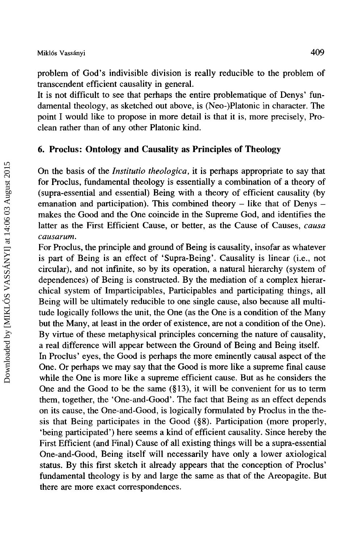problem of God's indivisible division is really reducible to the problem of transcendent efficient causality in general.

It is not difficult to see that perhaps the entire problematique of Denys' fundamental theology, as sketched out above, is (Neo-)Platonic in character. The point I would like to propose in more detail is that it is, more precisely, Proclean rather than of any other Platonic kind.

#### 6. Proclus: Ontology and Causality as Principles of Theology

On the basis of the *Institutio theologica,* it is perhaps appropriate to say that for Proclus, fundamental theology is essentially a combination of a theory of (supra-essential and essential) Being with a theory of efficient causality (by emanation and participation). This combined theory  $-$  like that of Denys  $$ makes the Good and the One coincide in the Supreme God, and identifies the latter as the First Efficient Cause, or better, as the Cause of Causes, *causa causarum.* 

For Proclus, the principle and ground of Being is causality, insofar as whatever is part of Being is an effect of 'Supra-Being'. Causality is linear (i.e., not circular), and not infinite, so by its operation, a natural hierarchy (system of dependences) of Being is constructed. By the mediation of a complex hierarchical system of Imparticipables, Participables and participating things, all Being will be ultimately reducible to one single cause, also because all multitude logically follows the unit, the One (as the One is a condition of the Many but the Many, at least in the order of existence, are not a condition of the One). By virtue of these metaphysical principles concerning the nature of causality, a real difference will appear between the Ground of Being and Being itself. In Proclus' eyes, the Good is perhaps the more eminently causal aspect of the

One. Or perhaps we may say that the Good is more like a supreme final cause while the One is more like a supreme efficient cause. But as he considers the One and the Good to be the same  $(\S13)$ , it will be convenient for us to term them, together, the 'One-and-Good'. The fact that Being as an effect depends on its cause, the One-and-Good, is logically formulated by Proclus in the thesis that Being participates in the Good (§8). Participation (more properly, 'being participated') here seems a kind of efficient causality. Since hereby the First Efficient (and Final) Cause of all existing things will be a supra-essential One-and-Good, Being itself will necessarily have only a lower axiological status. By this first sketch it already appears that the conception of Proclus' fundamental theology is by and large the same as that of the Areopagite. But there are more exact correspondences.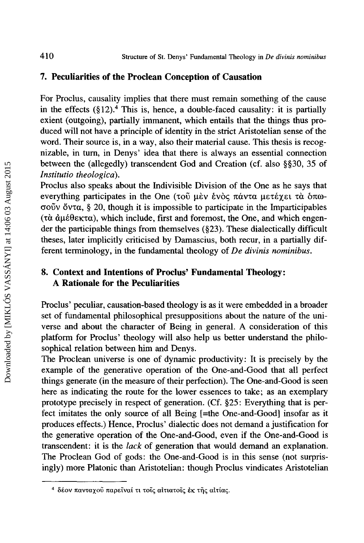#### **7. Peculiarities of the Proclean Conception of Causation**

For Proclus, causality implies that there must remain something of the cause in the effects  $(\S12)^4$ . This is, hence, a double-faced causality: it is partially exient (outgoing), partially immanent, which entails that the things thus produced will not have a principle of identity in the strict Aristotelian sense of the word. Their source is, in a way, also their material cause. This thesis is recognizable, in tum, in Denys' idea that there is always an essential connection between the (allegedly) transcendent God and Creation (cf. also §§30, 35 of *lnstitutio theologica).* 

Proclus also speaks about the Indivisible Division of the One as he says that everything participates in the One (τοῦ μὲν ἑνὸς πάντα μετέχει τὰ δπωcrouv ov·ra, § 20, though it is impossible to participate in the lmparticipables  $(\tau \alpha \, d\mu \epsilon \theta \epsilon_{\text{K}} \tau \alpha)$ , which include, first and foremost, the One, and which engender the participable things from themselves (§23). These dialectically difficult theses, later implicitly criticised by Damascius, both recur, in a partially different terminology, in the fundamental theology of *De divinis nominibus.* 

### **8. Context and Intentions of Proclus' Fundamental Theology: A Rationale for the Peculiarities**

Proclus' peculiar, causation-based theology is as it were embedded in a broader set of fundamental philosophical presuppositions about the nature of the universe and about the character of Being in general. A consideration of this platform for Proclus' theology will also help us better understand the philosophical relation between him and Denys.

The Proclean universe is one of dynamic productivity: It is precisely by the example of the generative operation of the One-and-Good that all perfect things generate (in the measure of their perfection). The One-and-Good is seen here as indicating the route for the lower essences to take; as an exemplary prototype precisely in respect of generation. (Cf. §25: Everything that is perfect imitates the only source of all Being [=the One-and-Good] insofar as it produces effects.) Hence, Proclus' dialectic does not demand a justification for the generative operation of the One-and-Good, even if the One-and-Good is transcendent: it is the *lack* of generation that would demand an explanation. The Proclean God of gods: the One-and-Good is in this sense (not surprisingly) more Platonic than Aristotelian: though Proclus vindicates Aristotelian

<sup>&</sup>lt;sup>4</sup> δέον πανταχού παρείναι τι τοίς αιτιατοίς έκ της αιτίας.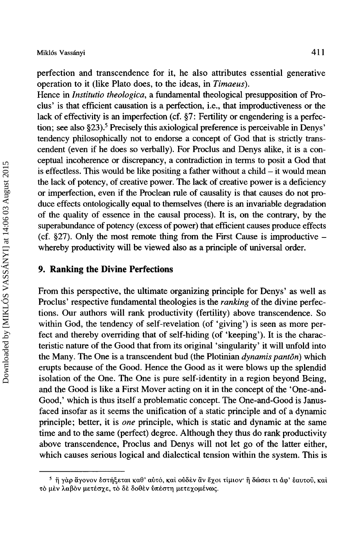perfection and transcendence for it, he also attributes essential generative operation to it (like Plato does, to the ideas, in *Timaeus).* 

Hence in *Institutio theologica*, a fundamental theological presupposition of Proclus' is that efficient causation is a perfection, i.e., that improductiveness or the lack of effectivity is an imperfection (cf. §7: Fertility or engendering is a perfection; see also §23).<sup>5</sup> Precisely this axiological preference is perceivable in Denys' tendency philosophically not to endorse a concept of God that is strictly transcendent (even if he does so verbally). For Proclus and Denys alike, it is a conceptual incoherence or discrepancy, a contradiction in terms to posit a God that is effectless. This would be like positing a father without a child  $-$  it would mean the lack of potency, of creative power. The lack of creative power is a deficiency or imperfection, even if the Proclean rule of causality is that causes do not produce effects ontologically equal to themselves (there is an invariable degradation of the quality of essence in the causal process). It is, on the contrary, by the superabundance of potency (excess of power) that efficient causes produce effects (cf.  $\S 27$ ). Only the most remote thing from the First Cause is improductive  $$ whereby productivity will be viewed also as a principle of universal order.

#### **9. Ranking the Divine Perfections**

From this perspective, the ultimate organizing principle for Denys' as well as Proclus' respective fundamental theologies is the *ranking* of the divine perfections. Our authors will rank productivity (fertility) above transcendence. So within God, the tendency of self-revelation (of 'giving') is seen as more perfect and thereby overriding that of self-hiding (of 'keeping'). It is the characteristic nature of the Good that from its original 'singularity' it will unfold into the Many. The One is a transcendent bud (the Plotinian *dynamis panton)* which erupts because of the Good. Hence the Good as it were blows up the splendid isolation of the One. The One is pure self-identity in a region beyond Being, and the Good is like a First Mover acting on it in the concept of the 'One-and-Good,' which is thus itself a problematic concept. The One-and-Good is Janusfaced insofar as it seems the unification of a static principle and of a dynamic principle; better, it is *one* principle, which is static and dynamic at the same time and to the same (perfect) degree. Although they thus do rank productivity above transcendence, Proclus and Denys will not let go of the latter either, which causes serious logical and dialectical tension within the system. This is

 $5\,$  ή γαρ άγονον εστήξεται καθ' αυτό, και ουδεν αν έχοι τίμιον ή δώσει τι άφ' εαυτου, και τό μεν λαβόν μετέσχε, το δε δοθεν ύπέστη μετεχομένως.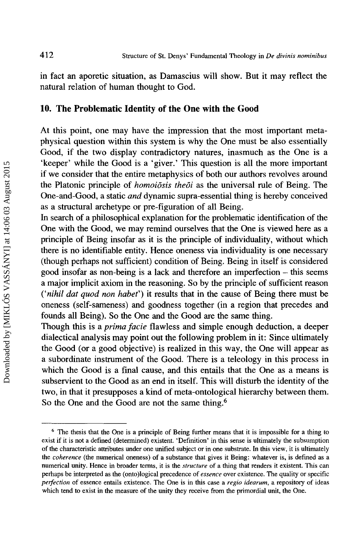in fact an aporetic situation, as Damascius will show. But it may reflect the natural relation of human thought to God.

#### **10. The Problematic Identity of the One with the Good**

At this point, one may have the impression that the most important metaphysical question within this system is why the One must be also essentially Good, if the two display contradictory natures, inasmuch as the One is a 'keeper' while the Good is a 'giver.' This question is all the more important if we consider that the entire metaphysics of both our authors revolves around the Platonic principle of *homoiosis theoi* as the universal rule of Being. The One-and-Good, a static *and* dynamic supra-essential thing is hereby conceived as a structural archetype or pre-figuration of all Being.

In search of a philosophical explanation for the problematic identification of the One with the Good, we may remind ourselves that the One is viewed here as a principle of Being insofar as it is the principle of individuality, without which there is no identifiable entity. Hence oneness via individuality is one necessary (though perhaps not sufficient) condition of Being. Being in itself is considered good insofar as non-being is a lack and therefore an imperfection - this seems a major implicit axiom in the reasoning. So by the principle of sufficient reason *('nihil dat quod non habet')* it results that in the cause of Being there must be oneness (self-sameness) and goodness together (in a region that precedes and founds all Being). So the One and the Good are the same thing.

Though this is a *prima facie* flawless and simple enough deduction, a deeper dialectical analysis may point out the following problem in it: Since ultimately the Good (or a good objective) is realized in this way, the One will appear as a subordinate instrument of the Good. There is a teleology in this process in which the Good is a final cause, and this entails that the One as a means is subservient to the Good as an end in itself. This will disturb the identity of the two, in that it presupposes a kind of meta-ontological hierarchy between them. So the One and the Good are not the same thing.<sup>6</sup>

<sup>&</sup>lt;sup>6</sup> The thesis that the One is a principle of Being further means that it is impossible for a thing to exist if it is not a defined (determined) existent. 'Definition' in this sense is ultimately the subsumption of the characteristic attributes under one unified subject or in one substrate. In this view, it is ultimately the *coherence* (the numerical oneness) of a substance that gives it Being: whatever is, is defmed as a numerical unity. Hence in broader terms, it is the *structure* of a thing that renders it existent. This can perhaps be interpreted as the (onto )logical precedence of *essence* over existence. The quality or specific *perfection* of essence entails existence. The One is in this case a *regio idearum,* a repository of ideas which tend to exist in the measure of the unity they receive from the primordial unit, the One.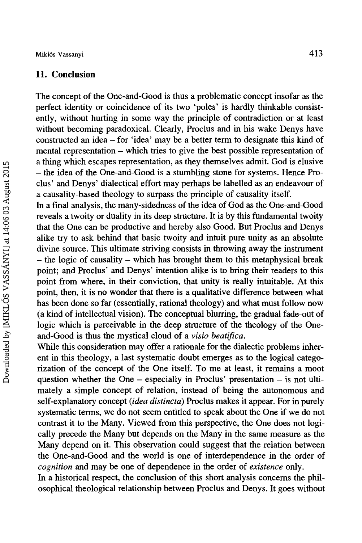#### **11. Conclusion**

The concept of the One-and-Good is thus a problematic concept insofar as the perfect identity or coincidence of its two 'poles' is hardly thinkable consistently, without hurting in some way the principle of contradiction or at least without becoming paradoxical. Clearly, Proclus and in his wake Denys have constructed an idea- for 'idea' may be a better term to designate this kind of mental representation – which tries to give the best possible representation of a thing which escapes representation, as they themselves admit. God is elusive - the idea of the One-and-Good is a stumbling stone for systems. Hence Proclus' and Denys' dialectical effort may perhaps be labelled as an endeavour of a causality-based theology to surpass the principle of causality itself.

In a final analysis, the many-sidedness of the idea of God as the One-and-Good reveals a twoity or duality in its deep structure. It is by this fundamental twoity that the One can be productive and hereby also Good. But Proclus and Denys alike try to ask behind that basic twoity and intuit pure unity as an absolute divine source. This ultimate striving consists in throwing away the instrument - the logic of causality - which has brought them to this metaphysical break point; and Proclus' and Denys' intention alike is to bring their readers to this point from where, in their conviction, that unity is really intuitable. At this point, then, it is no wonder that there is a qualitative difference between what has been done so far (essentially, rational theology) and what must follow now (a kind of intellectual vision). The conceptual blurring, the gradual fade-out of logic which is perceivable in the deep structure of the theology of the Oneand-Good is thus the mystical cloud of a *visio beatifica.* 

While this consideration may offer a rationale for the dialectic problems inherent in this theology, a last systematic doubt emerges as to the logical categorization of the concept of the One itself. To me at least, it remains a moot question whether the One  $-$  especially in Proclus' presentation  $-$  is not ultimately a simple concept of relation, instead of being the autonomous and self-explanatory concept *(idea distincta)* Proclus makes it appear. For in purely systematic terms, we do not seem entitled to speak about the One if we do not contrast it to the Many. Viewed from this perspective, the One does not logically precede the Many but depends on the Many in the same measure as the Many depend on it. This observation could suggest that the relation between the One-and-Good and the world is one of interdependence in the order of *cognition* and may be one of dependence in the order of *existence* only.

In a historical respect, the conclusion of this short analysis concerns the philosophical theological relationship between Proclus and Denys. It goes without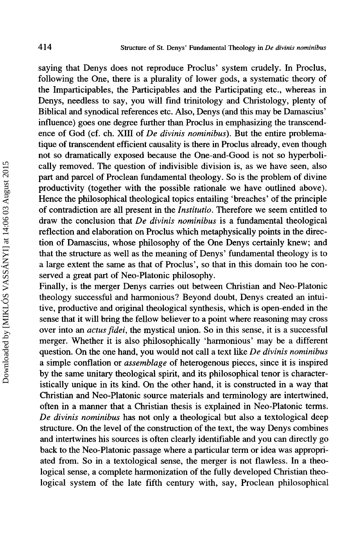saying that Denys does not reproduce Proclus' system crudely. In Proclus, following the One, there is a plurality of lower gods, a systematic theory of the Imparticipables, the Participables and the Participating etc., whereas in Denys, needless to say, you will find trinitology and Christology, plenty of Biblical and synodical references etc. Also, Denys (and this may be Damascius' influence) goes one degree further than Proclus in emphasizing the transcendence of God (cf. ch. XIII of *De divinis nominibus).* But the entire problematique of transcendent efficient causality is there in Proclus already, even though not so dramatically exposed because the One-and-Good is not so hyperbolically removed. The question of indivisible division is, as we have seen, also part and parcel of Proclean fundamental theology. So is the problem of divine productivity (together with the possible rationale we have outlined above). Hence the philosophical theological topics entailing 'breaches' of the principle of contradiction are all present in the */nstitutio.* Therefore we seem entitled to draw the conclusion that *De divinis nominibus* is a fundamental theological reflection and elaboration on Proclus which metaphysically points in the direction of Damascius, whose philosophy of the One Denys certainly knew; and that the structure as well as the meaning of Denys' fundamental theology is to a large extent the same as that of Proclus', so that in this domain too he conserved a great part of Neo-Platonic philosophy.

Finally, is the merger Denys carries out between Christian and Neo-Platonic theology successful and harmonious? Beyond doubt, Denys created an intuitive, productive and original theological synthesis, which is open-ended in the sense that it will bring the fellow believer to a point where reasoning may cross over into an *actus fidei,* the mystical union. So in this sense, it is a successful merger. Whether it is also philosophically 'harmonious' may be a different question. On the one hand, you would not call a text like *De divinis nominibus*  a simple conflation or *assemblage* of heterogenous pieces, since it is inspired by the same unitary theological spirit, and its philosophical tenor is characteristically unique in its kind. On the other hand, it is constructed in a way that Christian and Neo-Platonic source materials and terminology are intertwined, often in a manner that a Christian thesis is explained in Neo-Platonic terms. *De divinis nominibus* has not only a theological but also a textological deep structure. On the level of the construction of the text, the way Denys combines and intertwines his sources is often clearly identifiable and you can directly go back to the Neo-Platonic passage where a particular term or idea was appropriated from. So in a textological sense, the merger is not flawless. In a theological sense, a complete harmonization of the fully developed Christian theological system of the late fifth century with, say, Proclean philosophical